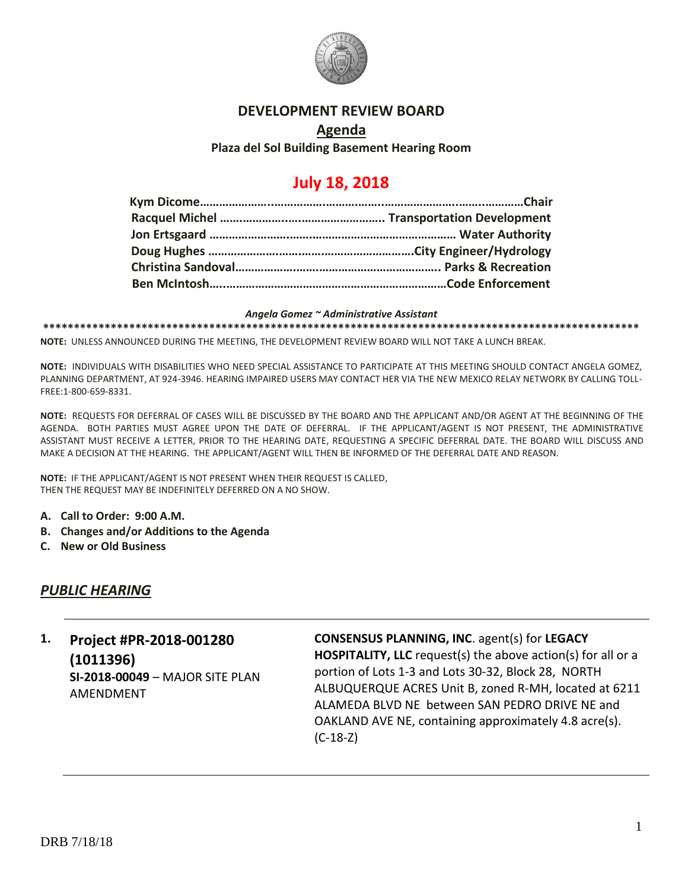

#### **DEVELOPMENT REVIEW BOARD**

# **Agenda Plaza del Sol Building Basement Hearing Room**

# **July 18, 2018**

#### *Angela Gomez ~ Administrative Assistant*

**\*\*\*\*\*\*\*\*\*\*\*\*\*\*\*\*\*\*\*\*\*\*\*\*\*\*\*\*\*\*\*\*\*\*\*\*\*\*\*\*\*\*\*\*\*\*\*\*\*\*\*\*\*\*\*\*\*\*\*\*\*\*\*\*\*\*\*\*\*\*\*\*\*\*\*\*\*\*\*\*\*\*\*\*\*\*\*\*\*\*\*\*\*\*\*\*\***

**NOTE:** UNLESS ANNOUNCED DURING THE MEETING, THE DEVELOPMENT REVIEW BOARD WILL NOT TAKE A LUNCH BREAK.

**NOTE:** INDIVIDUALS WITH DISABILITIES WHO NEED SPECIAL ASSISTANCE TO PARTICIPATE AT THIS MEETING SHOULD CONTACT ANGELA GOMEZ, PLANNING DEPARTMENT, AT 924-3946. HEARING IMPAIRED USERS MAY CONTACT HER VIA THE NEW MEXICO RELAY NETWORK BY CALLING TOLL-FREE:1-800-659-8331.

**NOTE:** REQUESTS FOR DEFERRAL OF CASES WILL BE DISCUSSED BY THE BOARD AND THE APPLICANT AND/OR AGENT AT THE BEGINNING OF THE AGENDA. BOTH PARTIES MUST AGREE UPON THE DATE OF DEFERRAL. IF THE APPLICANT/AGENT IS NOT PRESENT, THE ADMINISTRATIVE ASSISTANT MUST RECEIVE A LETTER, PRIOR TO THE HEARING DATE, REQUESTING A SPECIFIC DEFERRAL DATE. THE BOARD WILL DISCUSS AND MAKE A DECISION AT THE HEARING. THE APPLICANT/AGENT WILL THEN BE INFORMED OF THE DEFERRAL DATE AND REASON.

**NOTE:** IF THE APPLICANT/AGENT IS NOT PRESENT WHEN THEIR REQUEST IS CALLED, THEN THE REQUEST MAY BE INDEFINITELY DEFERRED ON A NO SHOW.

- **A. Call to Order: 9:00 A.M.**
- **B. Changes and/or Additions to the Agenda**
- **C. New or Old Business**

### *PUBLIC HEARING*

# **1. Project #PR-2018-001280 (1011396) SI-2018-00049** – MAJOR SITE PLAN AMENDMENT

**CONSENSUS PLANNING, INC**. agent(s) for **LEGACY HOSPITALITY, LLC** request(s) the above action(s) for all or a portion of Lots 1-3 and Lots 30-32, Block 28, NORTH ALBUQUERQUE ACRES Unit B, zoned R-MH, located at 6211 ALAMEDA BLVD NE between SAN PEDRO DRIVE NE and OAKLAND AVE NE, containing approximately 4.8 acre(s). (C-18-Z)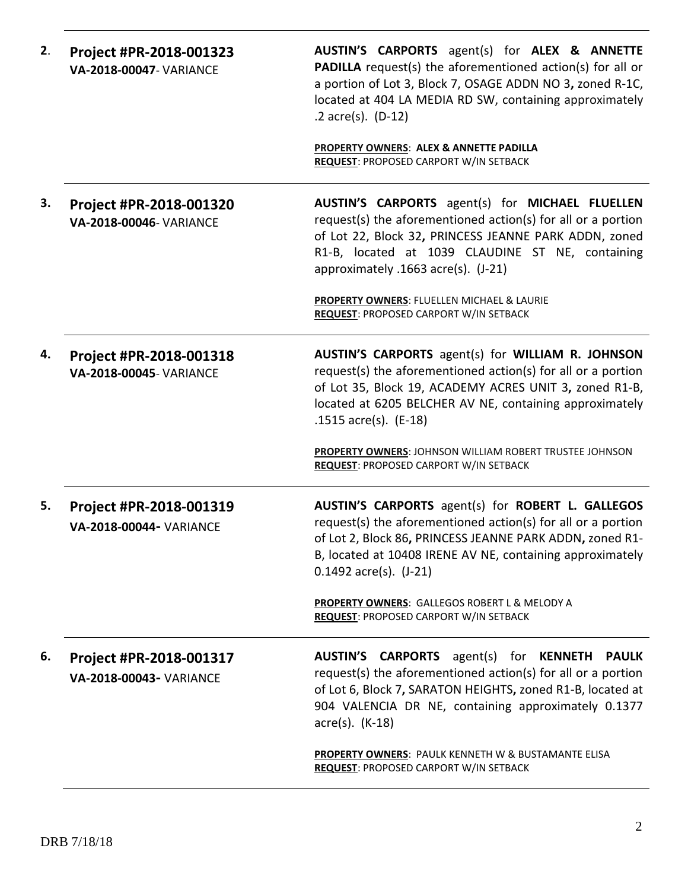| 2. | Project #PR-2018-001323<br><b>VA-2018-00047- VARIANCE</b> | AUSTIN'S CARPORTS agent(s) for ALEX & ANNETTE<br><b>PADILLA</b> request(s) the aforementioned action(s) for all or<br>a portion of Lot 3, Block 7, OSAGE ADDN NO 3, zoned R-1C,<br>located at 404 LA MEDIA RD SW, containing approximately<br>.2 $accre(s)$ . (D-12)<br><b>PROPERTY OWNERS: ALEX &amp; ANNETTE PADILLA</b><br>REQUEST: PROPOSED CARPORT W/IN SETBACK |
|----|-----------------------------------------------------------|----------------------------------------------------------------------------------------------------------------------------------------------------------------------------------------------------------------------------------------------------------------------------------------------------------------------------------------------------------------------|
|    |                                                           |                                                                                                                                                                                                                                                                                                                                                                      |
| З. | Project #PR-2018-001320<br>VA-2018-00046- VARIANCE        | AUSTIN'S CARPORTS agent(s) for MICHAEL FLUELLEN<br>request(s) the aforementioned action(s) for all or a portion<br>of Lot 22, Block 32, PRINCESS JEANNE PARK ADDN, zoned<br>R1-B, located at 1039 CLAUDINE ST NE, containing<br>approximately .1663 acre(s). (J-21)<br>PROPERTY OWNERS: FLUELLEN MICHAEL & LAURIE                                                    |
|    |                                                           | REQUEST: PROPOSED CARPORT W/IN SETBACK                                                                                                                                                                                                                                                                                                                               |
| 4. | Project #PR-2018-001318<br><b>VA-2018-00045- VARIANCE</b> | AUSTIN'S CARPORTS agent(s) for WILLIAM R. JOHNSON<br>request(s) the aforementioned action(s) for all or a portion<br>of Lot 35, Block 19, ACADEMY ACRES UNIT 3, zoned R1-B,<br>located at 6205 BELCHER AV NE, containing approximately<br>.1515 $\arccos 15$ . (E-18)<br>PROPERTY OWNERS: JOHNSON WILLIAM ROBERT TRUSTEE JOHNSON                                     |
|    |                                                           | <b>REQUEST: PROPOSED CARPORT W/IN SETBACK</b>                                                                                                                                                                                                                                                                                                                        |
| 5. | Project #PR-2018-001319<br><b>VA-2018-00044- VARIANCE</b> | AUSTIN'S CARPORTS agent(s) for ROBERT L. GALLEGOS<br>request(s) the aforementioned action(s) for all or a portion<br>of Lot 2, Block 86, PRINCESS JEANNE PARK ADDN, zoned R1-<br>B, located at 10408 IRENE AV NE, containing approximately<br>$0.1492$ acre(s). $(J-21)$                                                                                             |
|    |                                                           | PROPERTY OWNERS: GALLEGOS ROBERT L & MELODY A<br><b>REQUEST: PROPOSED CARPORT W/IN SETBACK</b>                                                                                                                                                                                                                                                                       |
| 6. | Project #PR-2018-001317<br>VA-2018-00043- VARIANCE        | <b>AUSTIN'S</b><br><b>CARPORTS</b><br>agent(s)<br><b>KENNETH</b><br>for<br><b>PAULK</b><br>request(s) the aforementioned action(s) for all or a portion<br>of Lot 6, Block 7, SARATON HEIGHTS, zoned R1-B, located at<br>904 VALENCIA DR NE, containing approximately 0.1377<br>$\arccos(5)$ . (K-18)                                                                |
|    |                                                           | <b>PROPERTY OWNERS: PAULK KENNETH W &amp; BUSTAMANTE ELISA</b><br><b>REQUEST: PROPOSED CARPORT W/IN SETBACK</b>                                                                                                                                                                                                                                                      |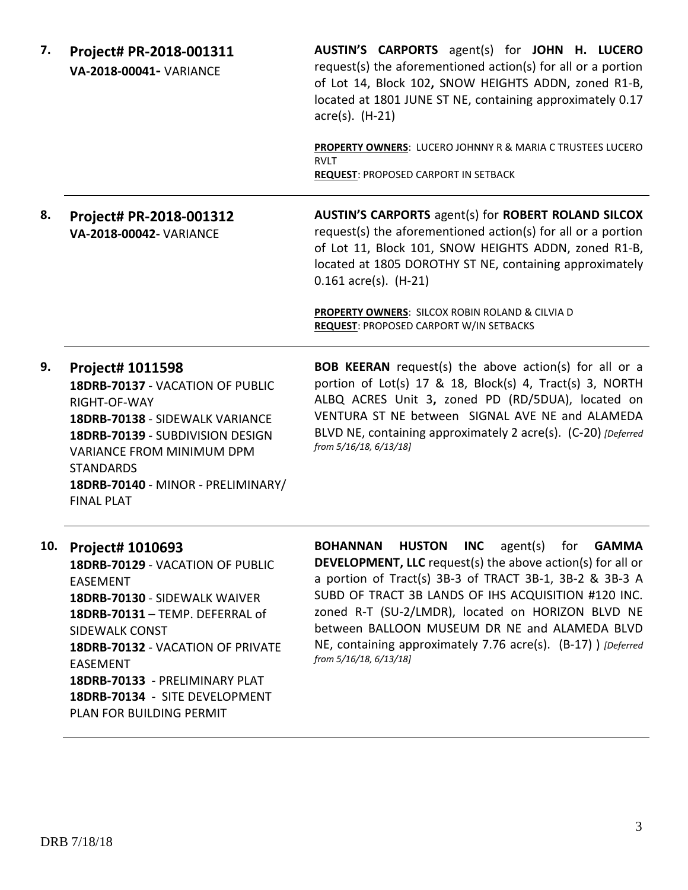| 7.  | Project# PR-2018-001311<br>VA-2018-00041- VARIANCE                                                                                                                                                                                                             | AUSTIN'S CARPORTS agent(s) for JOHN H. LUCERO<br>request(s) the aforementioned action(s) for all or a portion<br>of Lot 14, Block 102, SNOW HEIGHTS ADDN, zoned R1-B,<br>located at 1801 JUNE ST NE, containing approximately 0.17<br>$\arccos(5)$ . (H-21)                                                                                                                                                                                  |
|-----|----------------------------------------------------------------------------------------------------------------------------------------------------------------------------------------------------------------------------------------------------------------|----------------------------------------------------------------------------------------------------------------------------------------------------------------------------------------------------------------------------------------------------------------------------------------------------------------------------------------------------------------------------------------------------------------------------------------------|
|     |                                                                                                                                                                                                                                                                | PROPERTY OWNERS: LUCERO JOHNNY R & MARIA C TRUSTEES LUCERO<br><b>RVLT</b><br><b>REQUEST: PROPOSED CARPORT IN SETBACK</b>                                                                                                                                                                                                                                                                                                                     |
| 8.  | Project# PR-2018-001312<br>VA-2018-00042- VARIANCE                                                                                                                                                                                                             | <b>AUSTIN'S CARPORTS agent(s) for ROBERT ROLAND SILCOX</b><br>request(s) the aforementioned action(s) for all or a portion<br>of Lot 11, Block 101, SNOW HEIGHTS ADDN, zoned R1-B,<br>located at 1805 DOROTHY ST NE, containing approximately<br>$0.161$ acre(s). (H-21)                                                                                                                                                                     |
|     |                                                                                                                                                                                                                                                                | PROPERTY OWNERS: SILCOX ROBIN ROLAND & CILVIA D<br><b>REQUEST: PROPOSED CARPORT W/IN SETBACKS</b>                                                                                                                                                                                                                                                                                                                                            |
| 9.  | Project# 1011598<br>18DRB-70137 - VACATION OF PUBLIC<br>RIGHT-OF-WAY<br>18DRB-70138 - SIDEWALK VARIANCE<br>18DRB-70139 - SUBDIVISION DESIGN<br>VARIANCE FROM MINIMUM DPM<br><b>STANDARDS</b><br>18DRB-70140 - MINOR - PRELIMINARY/<br><b>FINAL PLAT</b>        | <b>BOB KEERAN</b> request(s) the above action(s) for all or a<br>portion of Lot(s) 17 & 18, Block(s) 4, Tract(s) 3, NORTH<br>ALBQ ACRES Unit 3, zoned PD (RD/5DUA), located on<br>VENTURA ST NE between SIGNAL AVE NE and ALAMEDA<br>BLVD NE, containing approximately 2 acre(s). (C-20) [Deferred<br>from 5/16/18, 6/13/18]                                                                                                                 |
| 10. | Project# 1010693<br>18DRB-70129 - VACATION OF PUBLIC<br><b>EASEMENT</b><br>18DRB-70130 - SIDEWALK WAIVER<br>18DRB-70131 - TEMP. DEFERRAL of<br><b>SIDEWALK CONST</b><br>18DRB-70132 - VACATION OF PRIVATE<br><b>EASEMENT</b><br>18DRB-70133 - PRELIMINARY PLAT | <b>BOHANNAN HUSTON INC</b> agent(s) for <b>GAMMA</b><br><b>DEVELOPMENT, LLC</b> request(s) the above action(s) for all or<br>a portion of Tract(s) 3B-3 of TRACT 3B-1, 3B-2 & 3B-3 A<br>SUBD OF TRACT 3B LANDS OF IHS ACQUISITION #120 INC.<br>zoned R-T (SU-2/LMDR), located on HORIZON BLVD NE<br>between BALLOON MUSEUM DR NE and ALAMEDA BLVD<br>NE, containing approximately 7.76 acre(s). (B-17) ) [Deferred<br>from 5/16/18, 6/13/18] |

**18DRB-70134** - SITE DEVELOPMENT PLAN FOR BUILDING PERMIT

DRB 7/18/18

3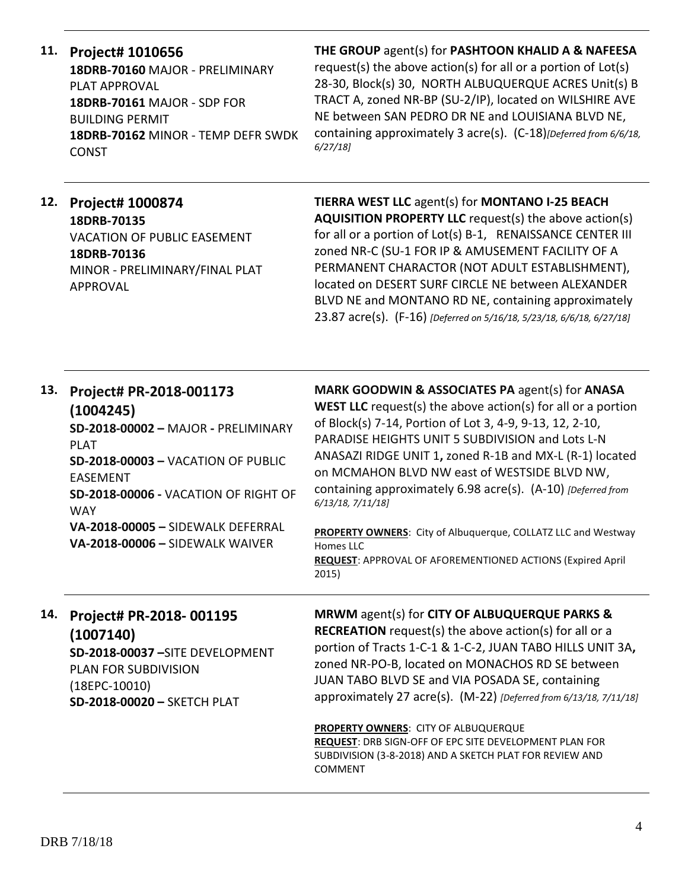#### **11. Project# 1010656**

**18DRB-70160** MAJOR - PRELIMINARY PLAT APPROVAL **18DRB-70161** MAJOR - SDP FOR BUILDING PERMIT **18DRB-70162** MINOR - TEMP DEFR SWDK CONST

#### **THE GROUP** agent(s) for **PASHTOON KHALID A & NAFEESA**

request(s) the above action(s) for all or a portion of Lot(s) 28-30, Block(s) 30, NORTH ALBUQUERQUE ACRES Unit(s) B TRACT A, zoned NR-BP (SU-2/IP), located on WILSHIRE AVE NE between SAN PEDRO DR NE and LOUISIANA BLVD NE, containing approximately 3 acre(s). (C-18)*[Deferred from 6/6/18, 6/27/18]*

# **12. Project# 1000874**

**18DRB-70135** VACATION OF PUBLIC EASEMENT **18DRB-70136** MINOR - PRELIMINARY/FINAL PLAT APPROVAL

**TIERRA WEST LLC** agent(s) for **MONTANO I-25 BEACH AQUISITION PROPERTY LLC** request(s) the above action(s) for all or a portion of Lot(s) B-1, RENAISSANCE CENTER III zoned NR-C (SU-1 FOR IP & AMUSEMENT FACILITY OF A PERMANENT CHARACTOR (NOT ADULT ESTABLISHMENT), located on DESERT SURF CIRCLE NE between ALEXANDER BLVD NE and MONTANO RD NE, containing approximately 23.87 acre(s). (F-16) *[Deferred on 5/16/18, 5/23/18, 6/6/18, 6/27/18]*

# **13. Project# PR-2018-001173 (1004245)**

**SD-2018-00002 –** MAJOR **-** PRELIMINARY PLAT

**SD-2018-00003 –** VACATION OF PUBLIC EASEMENT

**SD-2018-00006 -** VACATION OF RIGHT OF WAY

**VA-2018-00005 –** SIDEWALK DEFERRAL **VA-2018-00006 –** SIDEWALK WAIVER

**MARK GOODWIN & ASSOCIATES PA** agent(s) for **ANASA WEST LLC** request(s) the above action(s) for all or a portion of Block(s) 7-14, Portion of Lot 3, 4-9, 9-13, 12, 2-10, PARADISE HEIGHTS UNIT 5 SUBDIVISION and Lots L-N ANASAZI RIDGE UNIT 1**,** zoned R-1B and MX-L (R-1) located on MCMAHON BLVD NW east of WESTSIDE BLVD NW, containing approximately 6.98 acre(s). (A-10) *[Deferred from 6/13/18, 7/11/18]*

**PROPERTY OWNERS**: City of Albuquerque, COLLATZ LLC and Westway Homes LLC **REQUEST**: APPROVAL OF AFOREMENTIONED ACTIONS (Expired April 2015)

# **14. Project# PR-2018- 001195 (1007140)**

**SD-2018-00037 –**SITE DEVELOPMENT PLAN FOR SUBDIVISION (18EPC-10010) **SD-2018-00020 –** SKETCH PLAT

**MRWM** agent(s) for **CITY OF ALBUQUERQUE PARKS & RECREATION** request(s) the above action(s) for all or a portion of Tracts 1-C-1 & 1-C-2, JUAN TABO HILLS UNIT 3A**,**  zoned NR-PO-B, located on MONACHOS RD SE between JUAN TABO BLVD SE and VIA POSADA SE, containing approximately 27 acre(s). (M-22) *[Deferred from 6/13/18, 7/11/18]*

**PROPERTY OWNERS**: CITY OF ALBUQUERQUE **REQUEST**: DRB SIGN-OFF OF EPC SITE DEVELOPMENT PLAN FOR SUBDIVISION (3-8-2018) AND A SKETCH PLAT FOR REVIEW AND COMMENT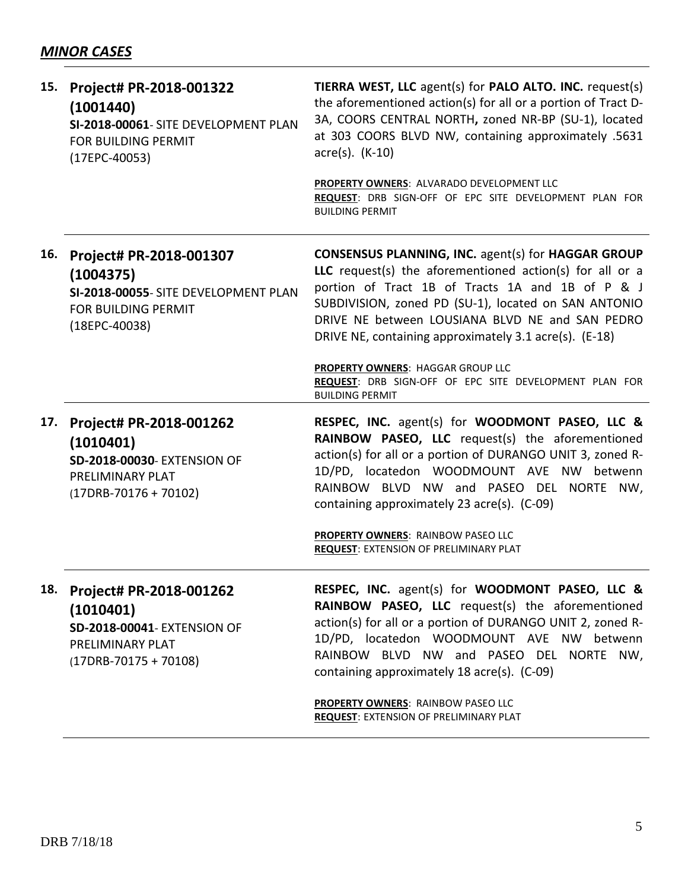| 15. | Project# PR-2018-001322<br>(1001440)<br>SI-2018-00061- SITE DEVELOPMENT PLAN<br>FOR BUILDING PERMIT<br>$(17EPC-40053)$        | TIERRA WEST, LLC agent(s) for PALO ALTO. INC. request(s)<br>the aforementioned action(s) for all or a portion of Tract D-<br>3A, COORS CENTRAL NORTH, zoned NR-BP (SU-1), located<br>at 303 COORS BLVD NW, containing approximately .5631<br>$\arccos(5)$ . (K-10)                                                                      |
|-----|-------------------------------------------------------------------------------------------------------------------------------|-----------------------------------------------------------------------------------------------------------------------------------------------------------------------------------------------------------------------------------------------------------------------------------------------------------------------------------------|
|     |                                                                                                                               | PROPERTY OWNERS: ALVARADO DEVELOPMENT LLC<br>REQUEST: DRB SIGN-OFF OF EPC SITE DEVELOPMENT PLAN FOR<br><b>BUILDING PERMIT</b>                                                                                                                                                                                                           |
| 16. | Project# PR-2018-001307<br>(1004375)<br>SI-2018-00055- SITE DEVELOPMENT PLAN<br><b>FOR BUILDING PERMIT</b><br>$(18EPC-40038)$ | CONSENSUS PLANNING, INC. agent(s) for HAGGAR GROUP<br>LLC request(s) the aforementioned action(s) for all or a<br>portion of Tract 1B of Tracts 1A and 1B of P & J<br>SUBDIVISION, zoned PD (SU-1), located on SAN ANTONIO<br>DRIVE NE between LOUSIANA BLVD NE and SAN PEDRO<br>DRIVE NE, containing approximately 3.1 acre(s). (E-18) |
|     |                                                                                                                               | PROPERTY OWNERS: HAGGAR GROUP LLC<br>REQUEST: DRB SIGN-OFF OF EPC SITE DEVELOPMENT PLAN FOR<br><b>BUILDING PERMIT</b>                                                                                                                                                                                                                   |
| 17. | Project# PR-2018-001262<br>(1010401)<br>SD-2018-00030- EXTENSION OF<br>PRELIMINARY PLAT<br>$(17DRB-70176+70102)$              | RESPEC, INC. agent(s) for WOODMONT PASEO, LLC &<br>RAINBOW PASEO, LLC request(s) the aforementioned<br>action(s) for all or a portion of DURANGO UNIT 3, zoned R-<br>1D/PD, locatedon WOODMOUNT AVE NW betwenn<br>RAINBOW BLVD NW and PASEO DEL NORTE NW,<br>containing approximately 23 acre(s). (C-09)                                |
|     |                                                                                                                               | PROPERTY OWNERS: RAINBOW PASEO LLC<br><b>REQUEST: EXTENSION OF PRELIMINARY PLAT</b>                                                                                                                                                                                                                                                     |
| 18. | Project# PR-2018-001262<br>(1010401)<br>SD-2018-00041- EXTENSION OF<br>PRELIMINARY PLAT<br>$(17DRB-70175+70108)$              | RESPEC, INC. agent(s) for WOODMONT PASEO, LLC &<br>RAINBOW PASEO, LLC request(s) the aforementioned<br>action(s) for all or a portion of DURANGO UNIT 2, zoned R-<br>1D/PD, locatedon WOODMOUNT AVE NW betwenn<br>RAINBOW BLVD NW and PASEO DEL NORTE NW,<br>containing approximately 18 acre(s). (C-09)                                |
|     |                                                                                                                               | PROPERTY OWNERS: RAINBOW PASEO LLC<br>REQUEST: EXTENSION OF PRELIMINARY PLAT                                                                                                                                                                                                                                                            |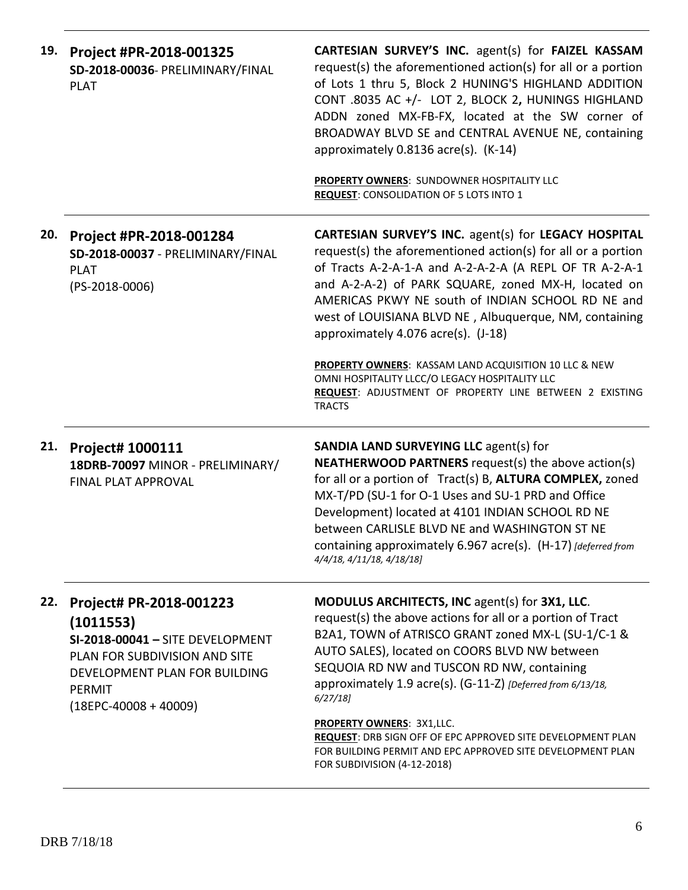| 19. | Project #PR-2018-001325<br>SD-2018-00036- PRELIMINARY/FINAL<br><b>PLAT</b>                                                                                                    | CARTESIAN SURVEY'S INC. agent(s) for FAIZEL KASSAM<br>request(s) the aforementioned action(s) for all or a portion<br>of Lots 1 thru 5, Block 2 HUNING'S HIGHLAND ADDITION<br>CONT .8035 AC +/- LOT 2, BLOCK 2, HUNINGS HIGHLAND<br>ADDN zoned MX-FB-FX, located at the SW corner of<br>BROADWAY BLVD SE and CENTRAL AVENUE NE, containing<br>approximately 0.8136 acre(s). (K-14)<br>PROPERTY OWNERS: SUNDOWNER HOSPITALITY LLC<br><b>REQUEST: CONSOLIDATION OF 5 LOTS INTO 1</b>                                                                                 |
|-----|-------------------------------------------------------------------------------------------------------------------------------------------------------------------------------|--------------------------------------------------------------------------------------------------------------------------------------------------------------------------------------------------------------------------------------------------------------------------------------------------------------------------------------------------------------------------------------------------------------------------------------------------------------------------------------------------------------------------------------------------------------------|
| 20. | Project #PR-2018-001284<br>SD-2018-00037 - PRELIMINARY/FINAL<br><b>PLAT</b><br>$(PS-2018-0006)$                                                                               | CARTESIAN SURVEY'S INC. agent(s) for LEGACY HOSPITAL<br>request(s) the aforementioned action(s) for all or a portion<br>of Tracts A-2-A-1-A and A-2-A-2-A (A REPL OF TR A-2-A-1<br>and A-2-A-2) of PARK SQUARE, zoned MX-H, located on<br>AMERICAS PKWY NE south of INDIAN SCHOOL RD NE and<br>west of LOUISIANA BLVD NE, Albuquerque, NM, containing<br>approximately 4.076 acre(s). (J-18)<br>PROPERTY OWNERS: KASSAM LAND ACQUISITION 10 LLC & NEW<br>OMNI HOSPITALITY LLCC/O LEGACY HOSPITALITY LLC<br>REQUEST: ADJUSTMENT OF PROPERTY LINE BETWEEN 2 EXISTING |
|     |                                                                                                                                                                               | <b>TRACTS</b>                                                                                                                                                                                                                                                                                                                                                                                                                                                                                                                                                      |
| 21. | Project# 1000111<br>18DRB-70097 MINOR - PRELIMINARY/<br>FINAL PLAT APPROVAL                                                                                                   | <b>SANDIA LAND SURVEYING LLC agent(s) for</b><br><b>NEATHERWOOD PARTNERS</b> request(s) the above action(s)<br>for all or a portion of Tract(s) B, ALTURA COMPLEX, zoned<br>MX-T/PD (SU-1 for O-1 Uses and SU-1 PRD and Office<br>Development) located at 4101 INDIAN SCHOOL RD NE<br>between CARLISLE BLVD NE and WASHINGTON ST NE<br>containing approximately 6.967 acre(s). (H-17) [deferred from<br>4/4/18, 4/11/18, 4/18/18]                                                                                                                                  |
| 22. | Project# PR-2018-001223<br>(1011553)<br>SI-2018-00041 - SITE DEVELOPMENT<br>PLAN FOR SUBDIVISION AND SITE<br>DEVELOPMENT PLAN FOR BUILDING<br>PERMIT<br>$(18EPC-40008+40009)$ | MODULUS ARCHITECTS, INC agent(s) for 3X1, LLC.<br>request(s) the above actions for all or a portion of Tract<br>B2A1, TOWN of ATRISCO GRANT zoned MX-L (SU-1/C-1 &<br>AUTO SALES), located on COORS BLVD NW between<br>SEQUOIA RD NW and TUSCON RD NW, containing<br>approximately 1.9 acre(s). (G-11-Z) [Deferred from 6/13/18,<br>6/27/18<br><b>PROPERTY OWNERS: 3X1,LLC.</b><br>REQUEST: DRB SIGN OFF OF EPC APPROVED SITE DEVELOPMENT PLAN<br>FOR BUILDING PERMIT AND EPC APPROVED SITE DEVELOPMENT PLAN<br>FOR SUBDIVISION (4-12-2018)                        |